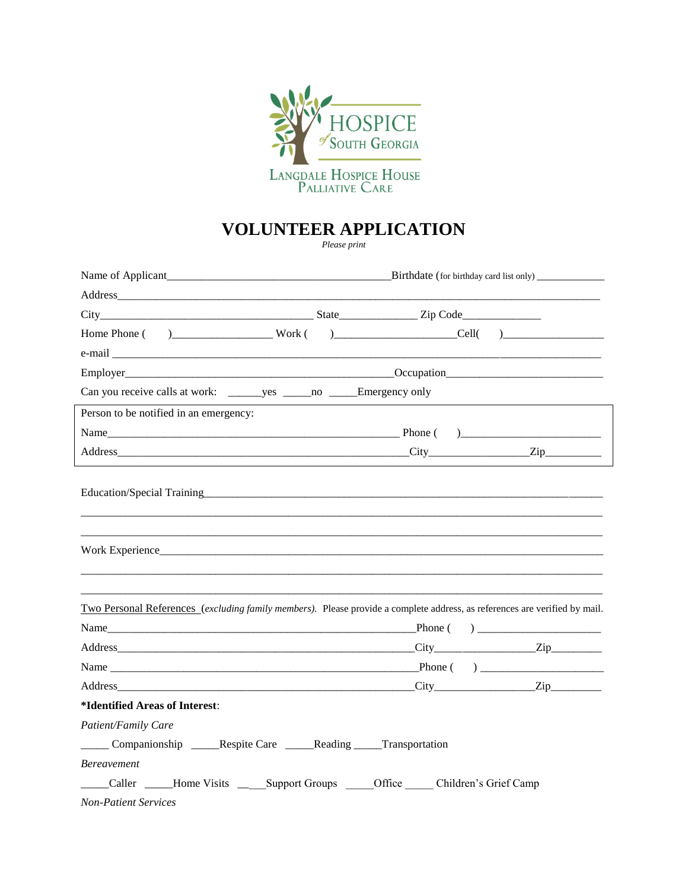

## **VOLUNTEER APPLICATION**

Please print

| Name of Applicant                                                                                                                                                                                                              | Birthdate (for birthday card list only) |  |  |  |  |
|--------------------------------------------------------------------------------------------------------------------------------------------------------------------------------------------------------------------------------|-----------------------------------------|--|--|--|--|
|                                                                                                                                                                                                                                |                                         |  |  |  |  |
|                                                                                                                                                                                                                                |                                         |  |  |  |  |
|                                                                                                                                                                                                                                |                                         |  |  |  |  |
| e-mail explorer and the contract of the contract of the contract of the contract of the contract of the contract of the contract of the contract of the contract of the contract of the contract of the contract of the contra |                                         |  |  |  |  |
|                                                                                                                                                                                                                                |                                         |  |  |  |  |
|                                                                                                                                                                                                                                |                                         |  |  |  |  |
| Person to be notified in an emergency:                                                                                                                                                                                         |                                         |  |  |  |  |
|                                                                                                                                                                                                                                |                                         |  |  |  |  |
|                                                                                                                                                                                                                                |                                         |  |  |  |  |
|                                                                                                                                                                                                                                |                                         |  |  |  |  |
| Two Personal References (excluding family members). Please provide a complete address, as references are verified by mail.                                                                                                     |                                         |  |  |  |  |
|                                                                                                                                                                                                                                |                                         |  |  |  |  |
|                                                                                                                                                                                                                                |                                         |  |  |  |  |
|                                                                                                                                                                                                                                |                                         |  |  |  |  |
|                                                                                                                                                                                                                                |                                         |  |  |  |  |
| *Identified Areas of Interest:                                                                                                                                                                                                 |                                         |  |  |  |  |
| Patient/Family Care                                                                                                                                                                                                            |                                         |  |  |  |  |
| Companionship ______Respite Care _______Reading _____Transportation                                                                                                                                                            |                                         |  |  |  |  |
| <b>Bereavement</b>                                                                                                                                                                                                             |                                         |  |  |  |  |
| Caller ________Home Visits _________ Support Groups _______________ Children's Grief Camp                                                                                                                                      |                                         |  |  |  |  |
| <b>Non-Patient Services</b>                                                                                                                                                                                                    |                                         |  |  |  |  |